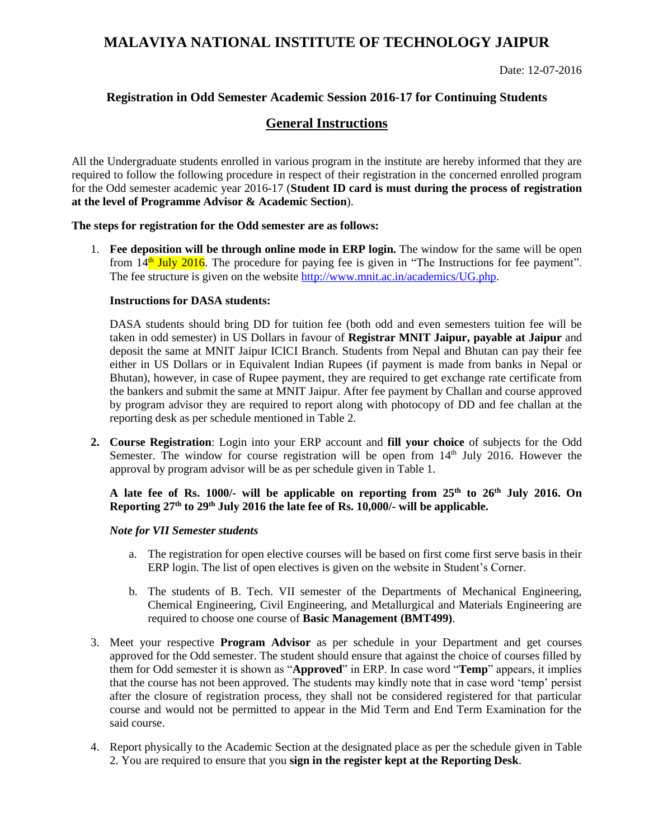# **MALAVIYA NATIONAL INSTITUTE OF TECHNOLOGY JAIPUR**

Date: 12-07-2016

## **Registration in Odd Semester Academic Session 2016-17 for Continuing Students**

### **General Instructions**

All the Undergraduate students enrolled in various program in the institute are hereby informed that they are required to follow the following procedure in respect of their registration in the concerned enrolled program for the Odd semester academic year 2016-17 (**Student ID card is must during the process of registration at the level of Programme Advisor & Academic Section**).

#### **The steps for registration for the Odd semester are as follows:**

1. **Fee deposition will be through online mode in ERP login.** The window for the same will be open from 14<sup>th</sup> July 2016. The procedure for paying fee is given in "The Instructions for fee payment". The fee structure is given on the website [http://www.mnit.ac.in/academics/UG.php.](http://www.mnit.ac.in/academics/UG.php)

#### **Instructions for DASA students:**

DASA students should bring DD for tuition fee (both odd and even semesters tuition fee will be taken in odd semester) in US Dollars in favour of **Registrar MNIT Jaipur, payable at Jaipur** and deposit the same at MNIT Jaipur ICICI Branch. Students from Nepal and Bhutan can pay their fee either in US Dollars or in Equivalent Indian Rupees (if payment is made from banks in Nepal or Bhutan), however, in case of Rupee payment, they are required to get exchange rate certificate from the bankers and submit the same at MNIT Jaipur. After fee payment by Challan and course approved by program advisor they are required to report along with photocopy of DD and fee challan at the reporting desk as per schedule mentioned in Table 2.

**2. Course Registration**: Login into your ERP account and **fill your choice** of subjects for the Odd Semester. The window for course registration will be open from 14<sup>th</sup> July 2016. However the approval by program advisor will be as per schedule given in Table 1.

### **A late fee of Rs. 1000/- will be applicable on reporting from 25th to 26th July 2016. On Reporting 27th to 29th July 2016 the late fee of Rs. 10,000/- will be applicable.**

#### *Note for VII Semester students*

- a. The registration for open elective courses will be based on first come first serve basis in their ERP login. The list of open electives is given on the website in Student's Corner.
- b. The students of B. Tech. VII semester of the Departments of Mechanical Engineering, Chemical Engineering, Civil Engineering, and Metallurgical and Materials Engineering are required to choose one course of **Basic Management (BMT499)**.
- 3. Meet your respective **Program Advisor** as per schedule in your Department and get courses approved for the Odd semester. The student should ensure that against the choice of courses filled by them for Odd semester it is shown as "**Approved**" in ERP. In case word "**Temp**" appears, it implies that the course has not been approved. The students may kindly note that in case word 'temp' persist after the closure of registration process, they shall not be considered registered for that particular course and would not be permitted to appear in the Mid Term and End Term Examination for the said course.
- 4. Report physically to the Academic Section at the designated place as per the schedule given in Table 2. You are required to ensure that you **sign in the register kept at the Reporting Desk**.